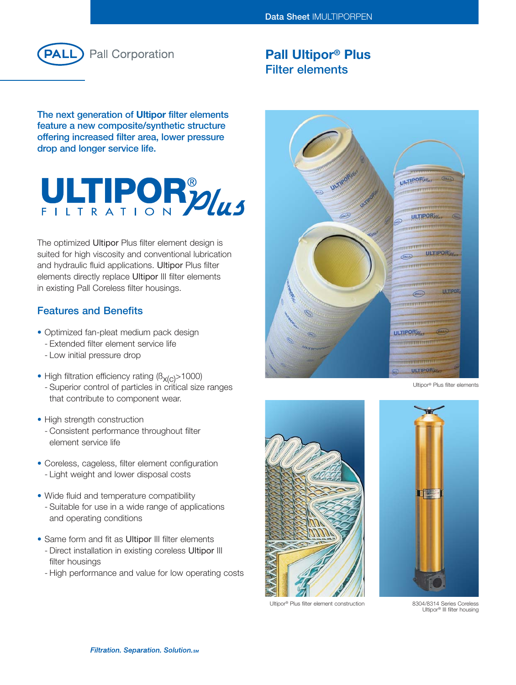

# **Pall Ultipor® Plus Filter elements**

**The next generation of Ultipor filter elements feature a new composite/synthetic structure offering increased filter area, lower pressure drop and longer service life.**

# ULTIPORPULS

The optimized Ultipor Plus filter element design is suited for high viscosity and conventional lubrication and hydraulic fluid applications. Ultipor Plus filter elements directly replace Ultipor III filter elements in existing Pall Coreless filter housings.

# **Features and Benefits**

- Optimized fan-pleat medium pack design
	- Extended filter element service life
	- Low initial pressure drop
- High filtration efficiency rating  $(B_{x(C)} > 1000)$ - Superior control of particles in critical size ranges that contribute to component wear.
- High strength construction
	- Consistent performance throughout filter element service life
- Coreless, cageless, filter element configuration - Light weight and lower disposal costs
- Wide fluid and temperature compatibility - Suitable for use in a wide range of applications and operating conditions
- Same form and fit as Ultipor III filter elements
	- Direct installation in existing coreless Ultipor III filter housings
	- High performance and value for low operating costs



Ultipor® Plus filter elements



Ultipor® Plus filter element construction



8304/8314 Series Coreless Ultipor® III filter housing